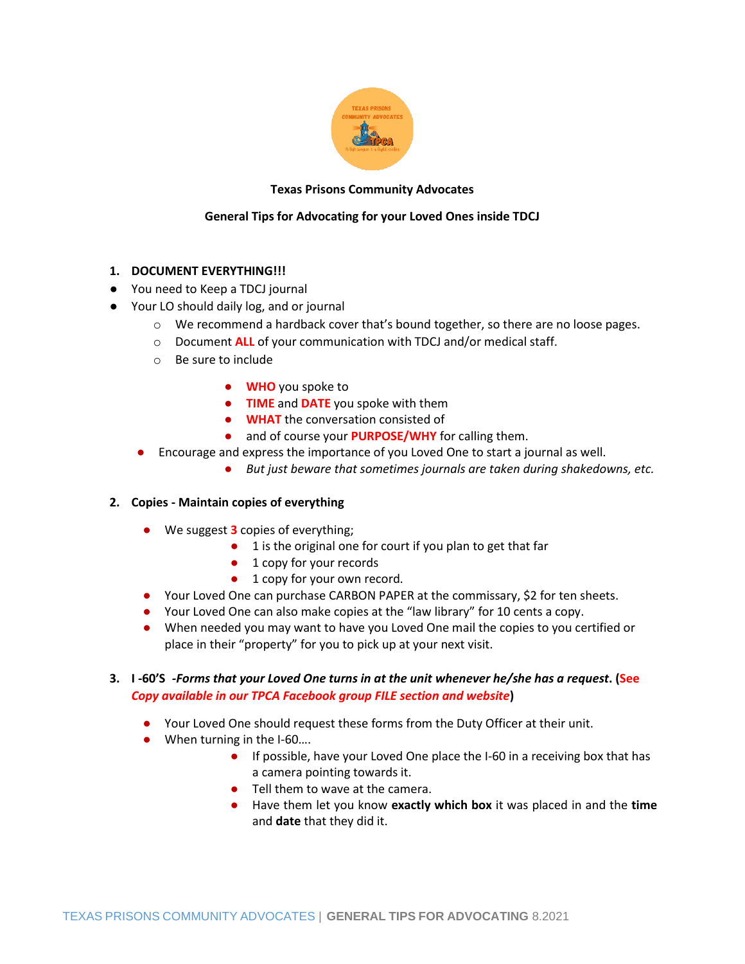

# **Texas Prisons Community Advocates**

# **General Tips for Advocating for your Loved Ones inside TDCJ**

# **1. DOCUMENT EVERYTHING!!!**

- You need to Keep a TDCJ journal
- Your LO should daily log, and or journal
	- $\circ$  We recommend a hardback cover that's bound together, so there are no loose pages.
	- o Document **ALL** of your communication with TDCJ and/or medical staff.
	- o Be sure to include
		- **WHO** you spoke to
		- **TIME** and **DATE** you spoke with them
		- **WHAT** the conversation consisted of
		- and of course your **PURPOSE/WHY** for calling them.
	- Encourage and express the importance of you Loved One to start a journal as well.
		- *But just beware that sometimes journals are taken during shakedowns, etc.*

## **2. Copies - Maintain copies of everything**

- We suggest **3** copies of everything;
	- 1 is the original one for court if you plan to get that far
	- 1 copy for your records
	- 1 copy for your own record.
- Your Loved One can purchase CARBON PAPER at the commissary, \$2 for ten sheets.
- Your Loved One can also make copies at the "law library" for 10 cents a copy.
- When needed you may want to have you Loved One mail the copies to you certified or place in their "property" for you to pick up at your next visit.

# **3. I -60'S** *-Forms that your Loved One turns in at the unit whenever he/she has a request***. (See**  *Copy available in our TPCA Facebook group FILE section and website***)**

- Your Loved One should request these forms from the Duty Officer at their unit.
- When turning in the I-60...
	- If possible, have your Loved One place the I-60 in a receiving box that has a camera pointing towards it.
	- Tell them to wave at the camera.
	- Have them let you know **exactly which box** it was placed in and the **time** and **date** that they did it.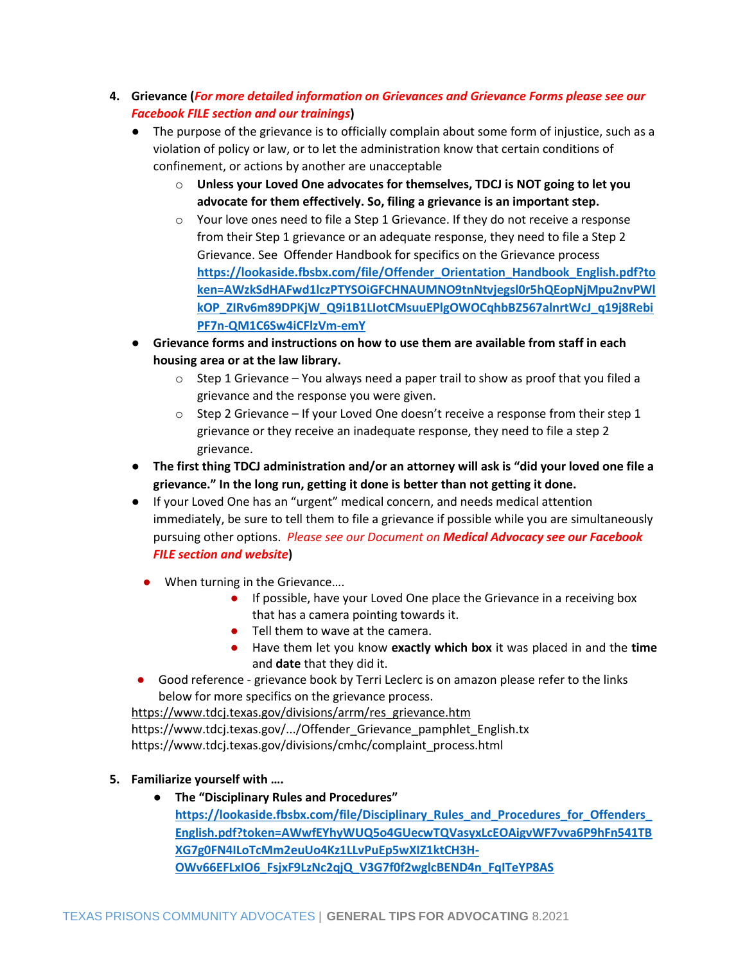- **4. Grievance (***For more detailed information on Grievances and Grievance Forms please see our Facebook FILE section and our trainings***)**
	- The purpose of the grievance is to officially complain about some form of injustice, such as a violation of policy or law, or to let the administration know that certain conditions of confinement, or actions by another are unacceptable
		- o **Unless your Loved One advocates for themselves, TDCJ is NOT going to let you advocate for them effectively. So, filing a grievance is an important step.**
		- o Your love ones need to file a Step 1 Grievance. If they do not receive a response from their Step 1 grievance or an adequate response, they need to file a Step 2 Grievance. See Offender Handbook for specifics on the Grievance process **[https://lookaside.fbsbx.com/file/Offender\\_Orientation\\_Handbook\\_English.pdf?to](https://lookaside.fbsbx.com/file/Offender_Orientation_Handbook_English.pdf?token=AWzkSdHAFwd1lczPTYSOiGFCHNAUMNO9tnNtvjegsl0r5hQEopNjMpu2nvPWlkOP_ZIRv6m89DPKjW_Q9i1B1LIotCMsuuEPlgOWOCqhbBZ567alnrtWcJ_q19j8RebiPF7n-QM1C6Sw4iCFlzVm-emY) [ken=AWzkSdHAFwd1lczPTYSOiGFCHNAUMNO9tnNtvjegsl0r5hQEopNjMpu2nvPWl](https://lookaside.fbsbx.com/file/Offender_Orientation_Handbook_English.pdf?token=AWzkSdHAFwd1lczPTYSOiGFCHNAUMNO9tnNtvjegsl0r5hQEopNjMpu2nvPWlkOP_ZIRv6m89DPKjW_Q9i1B1LIotCMsuuEPlgOWOCqhbBZ567alnrtWcJ_q19j8RebiPF7n-QM1C6Sw4iCFlzVm-emY) [kOP\\_ZIRv6m89DPKjW\\_Q9i1B1LIotCMsuuEPlgOWOCqhbBZ567alnrtWcJ\\_q19j8Rebi](https://lookaside.fbsbx.com/file/Offender_Orientation_Handbook_English.pdf?token=AWzkSdHAFwd1lczPTYSOiGFCHNAUMNO9tnNtvjegsl0r5hQEopNjMpu2nvPWlkOP_ZIRv6m89DPKjW_Q9i1B1LIotCMsuuEPlgOWOCqhbBZ567alnrtWcJ_q19j8RebiPF7n-QM1C6Sw4iCFlzVm-emY) [PF7n-QM1C6Sw4iCFlzVm-emY](https://lookaside.fbsbx.com/file/Offender_Orientation_Handbook_English.pdf?token=AWzkSdHAFwd1lczPTYSOiGFCHNAUMNO9tnNtvjegsl0r5hQEopNjMpu2nvPWlkOP_ZIRv6m89DPKjW_Q9i1B1LIotCMsuuEPlgOWOCqhbBZ567alnrtWcJ_q19j8RebiPF7n-QM1C6Sw4iCFlzVm-emY)**
	- **Grievance forms and instructions on how to use them are available from staff in each housing area or at the law library.** 
		- $\circ$  Step 1 Grievance You always need a paper trail to show as proof that you filed a grievance and the response you were given.
		- $\circ$  Step 2 Grievance If your Loved One doesn't receive a response from their step 1 grievance or they receive an inadequate response, they need to file a step 2 grievance.
	- **The first thing TDCJ administration and/or an attorney will ask is "did your loved one file a grievance." In the long run, getting it done is better than not getting it done.**
	- If your Loved One has an "urgent" medical concern, and needs medical attention immediately, be sure to tell them to file a grievance if possible while you are simultaneously pursuing other options. *Please see our Document on Medical Advocacy see our Facebook FILE section and website***)**
		- When turning in the Grievance....
			- If possible, have your Loved One place the Grievance in a receiving box that has a camera pointing towards it.
			- Tell them to wave at the camera.
			- Have them let you know **exactly which box** it was placed in and the **time** and **date** that they did it.
	- Good reference grievance book by Terri Leclerc is on amazon please refer to the links below for more specifics on the grievance process.

[https://www.tdcj.texas.gov/divisions/arrm/res\\_grievance.htm](https://www.tdcj.texas.gov/divisions/arrm/res_grievance.htm) https://www.tdcj.texas.gov/.../Offender\_Grievance\_pamphlet\_English.tx https://www.tdcj.texas.gov/divisions/cmhc/complaint\_process.html

- **5. Familiarize yourself with ….**
	- **The "Disciplinary Rules and Procedures" [https://lookaside.fbsbx.com/file/Disciplinary\\_Rules\\_and\\_Procedures\\_for\\_Offenders\\_](https://lookaside.fbsbx.com/file/Disciplinary_Rules_and_Procedures_for_Offenders_English.pdf?token=AWwfEYhyWUQ5o4GUecwTQVasyxLcEOAigvWF7vva6P9hFn541TBXG7g0FN4ILoTcMm2euUo4Kz1LLvPuEp5wXIZ1ktCH3H-OWv66EFLxIO6_FsjxF9LzNc2qjQ_V3G7f0f2wglcBEND4n_FqITeYP8AS) [English.pdf?token=AWwfEYhyWUQ5o4GUecwTQVasyxLcEOAigvWF7vva6P9hFn541TB](https://lookaside.fbsbx.com/file/Disciplinary_Rules_and_Procedures_for_Offenders_English.pdf?token=AWwfEYhyWUQ5o4GUecwTQVasyxLcEOAigvWF7vva6P9hFn541TBXG7g0FN4ILoTcMm2euUo4Kz1LLvPuEp5wXIZ1ktCH3H-OWv66EFLxIO6_FsjxF9LzNc2qjQ_V3G7f0f2wglcBEND4n_FqITeYP8AS) [XG7g0FN4ILoTcMm2euUo4Kz1LLvPuEp5wXIZ1ktCH3H-](https://lookaside.fbsbx.com/file/Disciplinary_Rules_and_Procedures_for_Offenders_English.pdf?token=AWwfEYhyWUQ5o4GUecwTQVasyxLcEOAigvWF7vva6P9hFn541TBXG7g0FN4ILoTcMm2euUo4Kz1LLvPuEp5wXIZ1ktCH3H-OWv66EFLxIO6_FsjxF9LzNc2qjQ_V3G7f0f2wglcBEND4n_FqITeYP8AS)[OWv66EFLxIO6\\_FsjxF9LzNc2qjQ\\_V3G7f0f2wglcBEND4n\\_FqITeYP8AS](https://lookaside.fbsbx.com/file/Disciplinary_Rules_and_Procedures_for_Offenders_English.pdf?token=AWwfEYhyWUQ5o4GUecwTQVasyxLcEOAigvWF7vva6P9hFn541TBXG7g0FN4ILoTcMm2euUo4Kz1LLvPuEp5wXIZ1ktCH3H-OWv66EFLxIO6_FsjxF9LzNc2qjQ_V3G7f0f2wglcBEND4n_FqITeYP8AS)**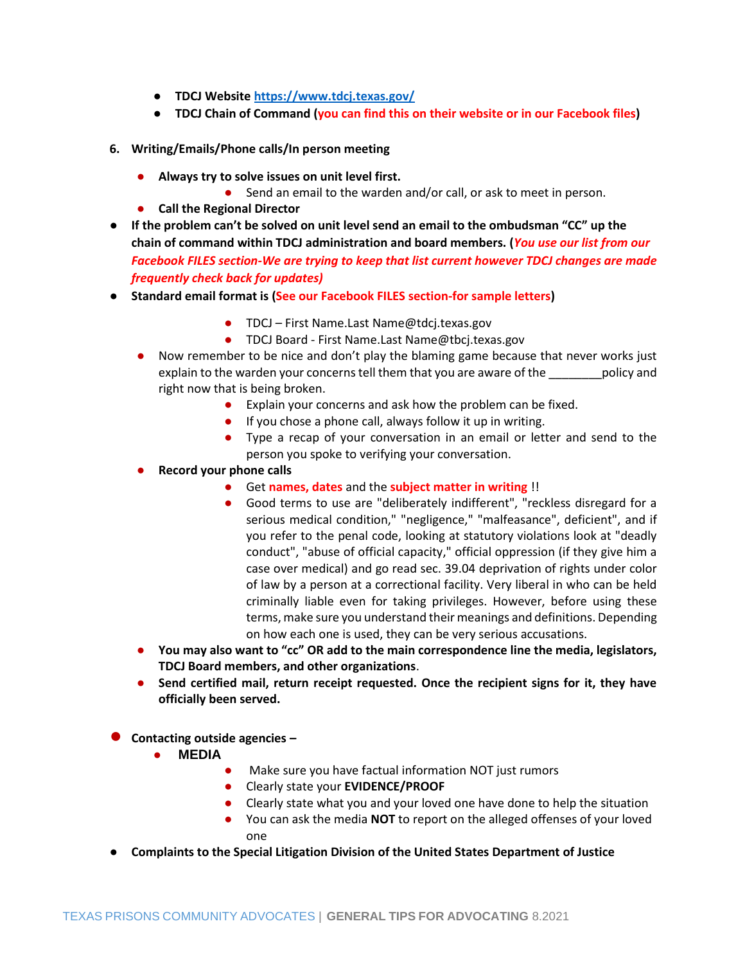- **TDCJ Websit[e https://www.tdcj.texas.gov/](https://www.tdcj.texas.gov/)**
- **TDCJ Chain of Command (you can find this on their website or in our Facebook files)**
- **6. Writing/Emails/Phone calls/In person meeting**
	- **Always try to solve issues on unit level first.** 
		- Send an email to the warden and/or call, or ask to meet in person.
	- **Call the Regional Director**
- **If the problem can't be solved on unit level send an email to the ombudsman "CC" up the chain of command within TDCJ administration and board members. (***You use our list from our Facebook FILES section-We are trying to keep that list current however TDCJ changes are made frequently check back for updates)*
- **Standard email format is (See our Facebook FILES section-for sample letters)**
	- TDCJ First Name.Last Name@tdcj.texas.gov
	- TDCJ Board First Name.Last Name@tbcj.texas.gov
	- Now remember to be nice and don't play the blaming game because that never works just explain to the warden your concerns tell them that you are aware of the \_\_\_\_\_\_\_\_policy and right now that is being broken.
		- Explain your concerns and ask how the problem can be fixed.
		- If you chose a phone call, always follow it up in writing.
		- Type a recap of your conversation in an email or letter and send to the person you spoke to verifying your conversation.
	- **Record your phone calls** 
		- Get **names, dates** and the **subject matter in writing** !!
		- Good terms to use are "deliberately indifferent", "reckless disregard for a serious medical condition," "negligence," "malfeasance", deficient", and if you refer to the penal code, looking at statutory violations look at "deadly conduct", "abuse of official capacity," official oppression (if they give him a case over medical) and go read sec. 39.04 deprivation of rights under color of law by a person at a correctional facility. Very liberal in who can be held criminally liable even for taking privileges. However, before using these terms, make sure you understand their meanings and definitions. Depending on how each one is used, they can be very serious accusations.
	- **You may also want to "cc" OR add to the main correspondence line the media, legislators, TDCJ Board members, and other organizations**.
	- Send certified mail, return receipt requested. Once the recipient signs for it, they have **officially been served.**
- **Contacting outside agencies –**
	- **MEDIA**
		- Make sure you have factual information NOT just rumors
		- Clearly state your **EVIDENCE/PROOF**
		- Clearly state what you and your loved one have done to help the situation
		- You can ask the media **NOT** to report on the alleged offenses of your loved one
- **Complaints to the Special Litigation Division of the United States Department of Justice**